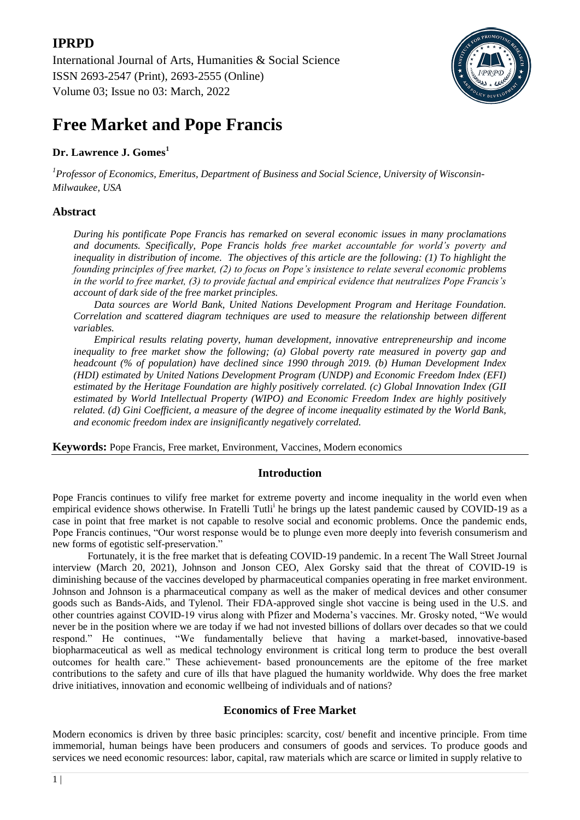International Journal of Arts, Humanities & Social Science ISSN 2693-2547 (Print), 2693-2555 (Online) Volume 03; Issue no 03: March, 2022



# **Free Market and Pope Francis**

# **Dr. Lawrence J. Gomes<sup>1</sup>**

*1 Professor of Economics, Emeritus, Department of Business and Social Science, University of Wisconsin-Milwaukee, USA*

# **Abstract**

*During his pontificate Pope Francis has remarked on several economic issues in many proclamations and documents. Specifically, Pope Francis holds free market accountable for world's poverty and inequality in distribution of income. The objectives of this article are the following: (1) To highlight the founding principles of free market, (2) to focus on Pope's insistence to relate several economic problems in the world to free market, (3) to provide factual and empirical evidence that neutralizes Pope Francis's account of dark side of the free market principles.*

*Data sources are World Bank, United Nations Development Program and Heritage Foundation. Correlation and scattered diagram techniques are used to measure the relationship between different variables.*

*Empirical results relating poverty, human development, innovative entrepreneurship and income inequality to free market show the following; (a) Global poverty rate measured in poverty gap and headcount (% of population) have declined since 1990 through 2019. (b) Human Development Index (HDI) estimated by United Nations Development Program (UNDP) and Economic Freedom Index (EFI) estimated by the Heritage Foundation are highly positively correlated. (c) Global Innovation Index (GII estimated by World Intellectual Property (WIPO) and Economic Freedom Index are highly positively related. (d) Gini Coefficient, a measure of the degree of income inequality estimated by the World Bank, and economic freedom index are insignificantly negatively correlated.*

**Keywords:** Pope Francis, Free market, Environment, Vaccines, Modern economics

# **Introduction**

Pope Francis continues to vilify free market for extreme poverty and income inequality in the world even when empirical evidence shows otherwise. In Fratelli Tutli<sup>i</sup> he brings up the latest pandemic caused by COVID-19 as a case in point that free market is not capable to resolve social and economic problems. Once the pandemic ends, Pope Francis continues, "Our worst response would be to plunge even more deeply into feverish consumerism and new forms of egotistic self-preservation."

Fortunately, it is the free market that is defeating COVID-19 pandemic. In a recent The Wall Street Journal interview (March 20, 2021), Johnson and Jonson CEO, Alex Gorsky said that the threat of COVID-19 is diminishing because of the vaccines developed by pharmaceutical companies operating in free market environment. Johnson and Johnson is a pharmaceutical company as well as the maker of medical devices and other consumer goods such as Bands-Aids, and Tylenol. Their FDA-approved single shot vaccine is being used in the U.S. and other countries against COVID-19 virus along with Pfizer and Moderna's vaccines. Mr. Grosky noted, "We would never be in the position where we are today if we had not invested billions of dollars over decades so that we could respond." He continues, "We fundamentally believe that having a market-based, innovative-based biopharmaceutical as well as medical technology environment is critical long term to produce the best overall outcomes for health care." These achievement- based pronouncements are the epitome of the free market contributions to the safety and cure of ills that have plagued the humanity worldwide. Why does the free market drive initiatives, innovation and economic wellbeing of individuals and of nations?

# **Economics of Free Market**

Modern economics is driven by three basic principles: scarcity, cost/ benefit and incentive principle. From time immemorial, human beings have been producers and consumers of goods and services. To produce goods and services we need economic resources: labor, capital, raw materials which are scarce or limited in supply relative to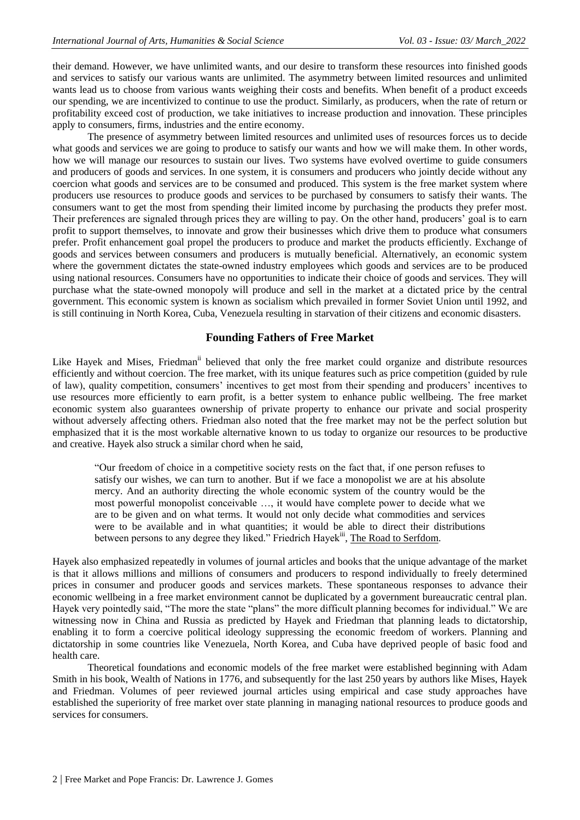their demand. However, we have unlimited wants, and our desire to transform these resources into finished goods and services to satisfy our various wants are unlimited. The asymmetry between limited resources and unlimited wants lead us to choose from various wants weighing their costs and benefits. When benefit of a product exceeds our spending, we are incentivized to continue to use the product. Similarly, as producers, when the rate of return or profitability exceed cost of production, we take initiatives to increase production and innovation. These principles apply to consumers, firms, industries and the entire economy.

The presence of asymmetry between limited resources and unlimited uses of resources forces us to decide what goods and services we are going to produce to satisfy our wants and how we will make them. In other words, how we will manage our resources to sustain our lives. Two systems have evolved overtime to guide consumers and producers of goods and services. In one system, it is consumers and producers who jointly decide without any coercion what goods and services are to be consumed and produced. This system is the free market system where producers use resources to produce goods and services to be purchased by consumers to satisfy their wants. The consumers want to get the most from spending their limited income by purchasing the products they prefer most. Their preferences are signaled through prices they are willing to pay. On the other hand, producers' goal is to earn profit to support themselves, to innovate and grow their businesses which drive them to produce what consumers prefer. Profit enhancement goal propel the producers to produce and market the products efficiently. Exchange of goods and services between consumers and producers is mutually beneficial. Alternatively, an economic system where the government dictates the state-owned industry employees which goods and services are to be produced using national resources. Consumers have no opportunities to indicate their choice of goods and services. They will purchase what the state-owned monopoly will produce and sell in the market at a dictated price by the central government. This economic system is known as socialism which prevailed in former Soviet Union until 1992, and is still continuing in North Korea, Cuba, Venezuela resulting in starvation of their citizens and economic disasters.

# **Founding Fathers of Free Market**

Like Hayek and Mises, Friedman<sup>ii</sup> believed that only the free market could organize and distribute resources efficiently and without coercion. The free market, with its unique features such as price competition (guided by rule of law), quality competition, consumers' incentives to get most from their spending and producers' incentives to use resources more efficiently to earn profit, is a better system to enhance public wellbeing. The free market economic system also guarantees ownership of private property to enhance our private and social prosperity without adversely affecting others. Friedman also noted that the free market may not be the perfect solution but emphasized that it is the most workable alternative known to us today to organize our resources to be productive and creative. Hayek also struck a similar chord when he said,

―Our freedom of choice in a competitive society rests on the fact that, if one person refuses to satisfy our wishes, we can turn to another. But if we face a monopolist we are at his absolute mercy. And an authority directing the whole economic system of the country would be the most powerful monopolist conceivable …, it would have complete power to decide what we are to be given and on what terms. It would not only decide what commodities and services were to be available and in what quantities; it would be able to direct their distributions between persons to any degree they liked." Friedrich Hayek<sup>iii</sup>, The Road to Serfdom.

Hayek also emphasized repeatedly in volumes of journal articles and books that the unique advantage of the market is that it allows millions and millions of consumers and producers to respond individually to freely determined prices in consumer and producer goods and services markets. These spontaneous responses to advance their economic wellbeing in a free market environment cannot be duplicated by a government bureaucratic central plan. Hayek very pointedly said, "The more the state "plans" the more difficult planning becomes for individual." We are witnessing now in China and Russia as predicted by Hayek and Friedman that planning leads to dictatorship, enabling it to form a coercive political ideology suppressing the economic freedom of workers. Planning and dictatorship in some countries like Venezuela, North Korea, and Cuba have deprived people of basic food and health care.

Theoretical foundations and economic models of the free market were established beginning with Adam Smith in his book, Wealth of Nations in 1776, and subsequently for the last 250 years by authors like Mises, Hayek and Friedman. Volumes of peer reviewed journal articles using empirical and case study approaches have established the superiority of free market over state planning in managing national resources to produce goods and services for consumers.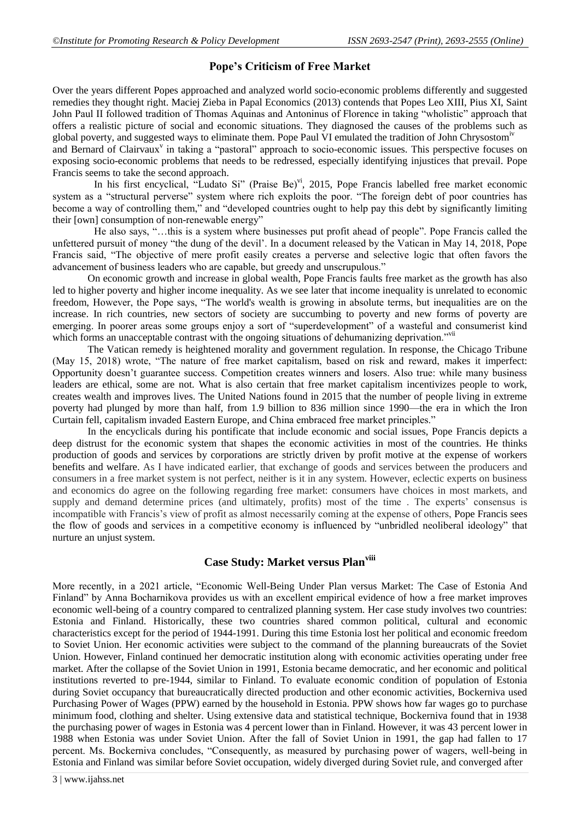# **Pope's Criticism of Free Market**

Over the years different Popes approached and analyzed world socio-economic problems differently and suggested remedies they thought right. Maciej Zieba in Papal Economics (2013) contends that Popes Leo XIII, Pius XI, Saint John Paul II followed tradition of Thomas Aquinas and Antoninus of Florence in taking "wholistic" approach that offers a realistic picture of social and economic situations. They diagnosed the causes of the problems such as global poverty, and suggested ways to eliminate them. Pope Paul VI emulated the tradition of John Chrysostom<sup>iv</sup> and Bernard of Clairvaux<sup>v</sup> in taking a "pastoral" approach to socio-economic issues. This perspective focuses on exposing socio-economic problems that needs to be redressed, especially identifying injustices that prevail. Pope

Francis seems to take the second approach. In his first encyclical, "Ludato Si" (Praise Be)", 2015, Pope Francis labelled free market economic system as a "structural perverse" system where rich exploits the poor. "The foreign debt of poor countries has become a way of controlling them," and "developed countries ought to help pay this debt by significantly limiting their [own] consumption of non-renewable energy"

He also says, "...this is a system where businesses put profit ahead of people". Pope Francis called the unfettered pursuit of money "the dung of the devil'. In a document released by the Vatican in May 14, 2018, Pope Francis said, "The objective of mere profit easily creates a perverse and selective logic that often favors the advancement of business leaders who are capable, but greedy and unscrupulous."

On economic growth and increase in global wealth, Pope Francis faults free market as the growth has also led to higher poverty and higher income inequality. As we see later that income inequality is unrelated to economic freedom, However, the Pope says, "The world's wealth is growing in absolute terms, but inequalities are on the increase. In rich countries, new sectors of society are succumbing to poverty and new forms of poverty are emerging. In poorer areas some groups enjoy a sort of "superdevelopment" of a wasteful and consumerist kind which forms an unacceptable contrast with the ongoing situations of dehumanizing deprivation."<sup>vii</sup>

The Vatican remedy is heightened morality and government regulation. In response, the Chicago Tribune (May 15, 2018) wrote, "The nature of free market capitalism, based on risk and reward, makes it imperfect: Opportunity doesn't guarantee success. Competition creates winners and losers. Also true: while many business leaders are ethical, some are not. What is also certain that free market capitalism incentivizes people to work, creates wealth and improves lives. The United Nations found in 2015 that the number of people living in extreme poverty had plunged by more than half, from 1.9 billion to 836 million since 1990—the era in which the Iron Curtain fell, capitalism invaded Eastern Europe, and China embraced free market principles."

In the encyclicals during his pontificate that include economic and social issues, Pope Francis depicts a deep distrust for the economic system that shapes the economic activities in most of the countries. He thinks production of goods and services by corporations are strictly driven by profit motive at the expense of workers benefits and welfare. As I have indicated earlier, that exchange of goods and services between the producers and consumers in a free market system is not perfect, neither is it in any system. However, eclectic experts on business and economics do agree on the following regarding free market: consumers have choices in most markets, and supply and demand determine prices (and ultimately, profits) most of the time . The experts' consensus is incompatible with Francis's view of profit as almost necessarily coming at the expense of others, Pope Francis sees the flow of goods and services in a competitive economy is influenced by "unbridled neoliberal ideology" that nurture an unjust system.

# **Case Study: Market versus Planviii**

More recently, in a 2021 article, "Economic Well-Being Under Plan versus Market: The Case of Estonia And Finland" by Anna Bocharnikova provides us with an excellent empirical evidence of how a free market improves economic well-being of a country compared to centralized planning system. Her case study involves two countries: Estonia and Finland. Historically, these two countries shared common political, cultural and economic characteristics except for the period of 1944-1991. During this time Estonia lost her political and economic freedom to Soviet Union. Her economic activities were subject to the command of the planning bureaucrats of the Soviet Union. However, Finland continued her democratic institution along with economic activities operating under free market. After the collapse of the Soviet Union in 1991, Estonia became democratic, and her economic and political institutions reverted to pre-1944, similar to Finland. To evaluate economic condition of population of Estonia during Soviet occupancy that bureaucratically directed production and other economic activities, Bockerniva used Purchasing Power of Wages (PPW) earned by the household in Estonia. PPW shows how far wages go to purchase minimum food, clothing and shelter. Using extensive data and statistical technique, Bockerniva found that in 1938 the purchasing power of wages in Estonia was 4 percent lower than in Finland. However, it was 43 percent lower in 1988 when Estonia was under Soviet Union. After the fall of Soviet Union in 1991, the gap had fallen to 17 percent. Ms. Bockerniva concludes, "Consequently, as measured by purchasing power of wagers, well-being in Estonia and Finland was similar before Soviet occupation, widely diverged during Soviet rule, and converged after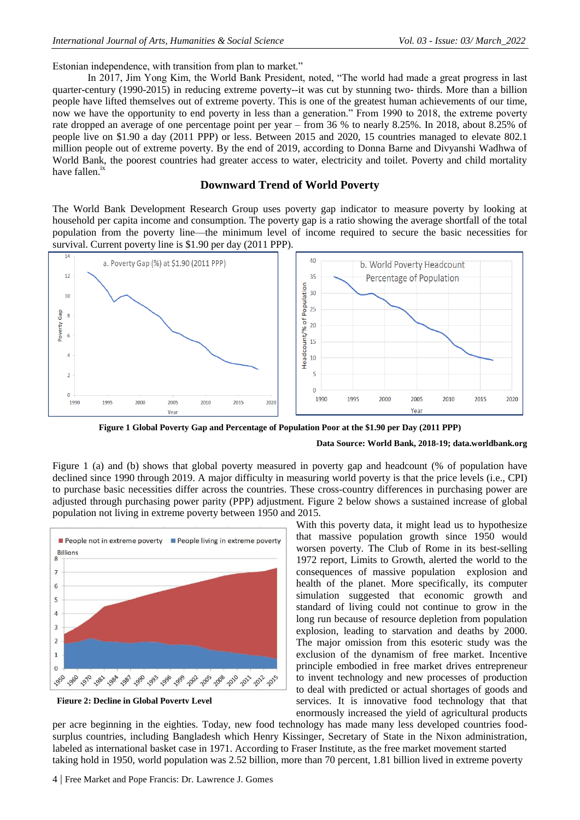Estonian independence, with transition from plan to market."

In 2017, Jim Yong Kim, the World Bank President, noted, "The world had made a great progress in last quarter-century (1990-2015) in reducing extreme poverty--it was cut by stunning two- thirds. More than a billion people have lifted themselves out of extreme poverty. This is one of the greatest human achievements of our time, now we have the opportunity to end poverty in less than a generation." From 1990 to 2018, the extreme poverty rate dropped an average of one percentage point per year – from 36 % to nearly 8.25%. In 2018, about 8.25% of people live on \$1.90 a day (2011 PPP) or less. Between 2015 and 2020, 15 countries managed to elevate 802.1 million people out of extreme poverty. By the end of 2019, according to Donna Barne and Divyanshi Wadhwa of World Bank, the poorest countries had greater access to water, electricity and toilet. Poverty and child mortality have fallen. $i$ 

### **Downward Trend of World Poverty**

The World Bank Development Research Group uses poverty gap indicator to measure poverty by looking at household per capita income and consumption. The poverty gap is a ratio showing the average shortfall of the total population from the poverty line—the minimum level of income required to secure the basic necessities for survival. Current poverty line is \$1.90 per day (2011 PPP).



**Figure 1 Global Poverty Gap and Percentage of Population Poor at the \$1.90 per Day (2011 PPP)**

#### **Data Source: World Bank, 2018-19; data.worldbank.org**

Figure 1 (a) and (b) shows that global poverty measured in poverty gap and headcount (% of population have declined since 1990 through 2019. A major difficulty in measuring world poverty is that the price levels (i.e., CPI) to purchase basic necessities differ across the countries. These cross-country differences in purchasing power are adjusted through purchasing power parity (PPP) adjustment. Figure 2 below shows a sustained increase of global population not living in extreme poverty between 1950 and 2015.



**Figure 2: Decline in Global Poverty Level**

With this poverty data, it might lead us to hypothesize that massive population growth since 1950 would worsen poverty. The Club of Rome in its best-selling 1972 report, Limits to Growth, alerted the world to the consequences of massive population explosion and health of the planet. More specifically, its computer simulation suggested that economic growth and standard of living could not continue to grow in the long run because of resource depletion from population explosion, leading to starvation and deaths by 2000. The major omission from this esoteric study was the exclusion of the dynamism of free market. Incentive principle embodied in free market drives entrepreneur to invent technology and new processes of production to deal with predicted or actual shortages of goods and services. It is innovative food technology that that enormously increased the yield of agricultural products

per acre beginning in the eighties. Today, new food technology has made many less developed countries foodsurplus countries, including Bangladesh which Henry Kissinger, Secretary of State in the Nixon administration, labeled as international basket case in 1971. According to Fraser Institute, as the free market movement started taking hold in 1950, world population was 2.52 billion, more than 70 percent, 1.81 billion lived in extreme poverty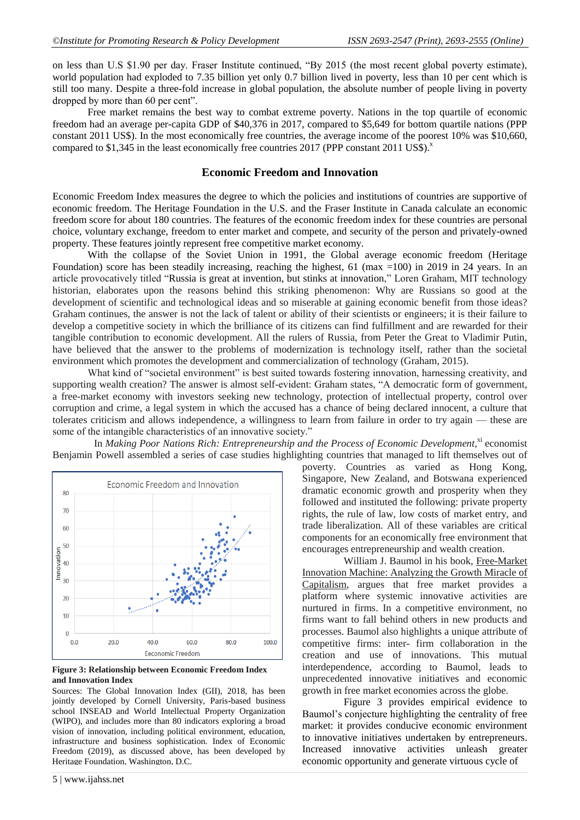on less than U.S \$1.90 per day. Fraser Institute continued, "By 2015 (the most recent global poverty estimate), world population had exploded to 7.35 billion yet only 0.7 billion lived in poverty, less than 10 per cent which is still too many. Despite a three-fold increase in global population, the absolute number of people living in poverty dropped by more than 60 per cent".

Free market remains the best way to combat extreme poverty. Nations in the top quartile of economic freedom had an average per-capita GDP of \$40,376 in 2017, compared to \$5,649 for bottom quartile nations (PPP constant 2011 US\$). In the most economically free countries, the average income of the poorest 10% was \$10,660, compared to  $$1,345$  in the least economically free countries 2017 (PPP constant 2011 US\$).<sup>x</sup>

### **Economic Freedom and Innovation**

Economic Freedom Index measures the degree to which the policies and institutions of countries are supportive of economic freedom. The Heritage Foundation in the U.S. and the Fraser Institute in Canada calculate an economic freedom score for about 180 countries. The features of the economic freedom index for these countries are personal choice, voluntary exchange, freedom to enter market and compete, and security of the person and privately-owned property. These features jointly represent free competitive market economy.

With the collapse of the Soviet Union in 1991, the Global average economic freedom (Heritage Foundation) score has been steadily increasing, reaching the highest, 61 (max =100) in 2019 in 24 years. In an article provocatively titled "Russia is great at invention, but stinks at innovation," Loren Graham, MIT technology historian, elaborates upon the reasons behind this striking phenomenon: Why are Russians so good at the development of scientific and technological ideas and so miserable at gaining economic benefit from those ideas? Graham continues, the answer is not the lack of talent or ability of their scientists or engineers; it is their failure to develop a competitive society in which the brilliance of its citizens can find fulfillment and are rewarded for their tangible contribution to economic development. All the rulers of Russia, from Peter the Great to Vladimir Putin, have believed that the answer to the problems of modernization is technology itself, rather than the societal environment which promotes the development and commercialization of technology (Graham, 2015).

What kind of "societal environment" is best suited towards fostering innovation, harnessing creativity, and supporting wealth creation? The answer is almost self-evident: Graham states, "A democratic form of government, a free-market economy with investors seeking new technology, protection of intellectual property, control over corruption and crime, a legal system in which the accused has a chance of being declared innocent, a culture that tolerates criticism and allows independence, a willingness to learn from failure in order to try again — these are some of the intangible characteristics of an innovative society."

In *Making Poor Nations Rich: Entrepreneurship and the Process of Economic Development*, xi economist Benjamin Powell assembled a series of case studies highlighting countries that managed to lift themselves out of



**Figure 3: Relationship between Economic Freedom Index and Innovation Index**

Sources: The Global Innovation Index (GII), 2018, has been jointly developed by Cornell University, Paris-based business school INSEAD and World Intellectual Property Organization (WIPO), and includes more than 80 indicators exploring a broad vision of innovation, including political environment, education, infrastructure and business sophistication. Index of Economic Freedom (2019), as discussed above, has been developed by Heritage Foundation, Washington, D.C.

poverty. Countries as varied as Hong Kong, Singapore, New Zealand, and Botswana experienced dramatic economic growth and prosperity when they followed and instituted the following: private property rights, the rule of law, low costs of market entry, and trade liberalization. All of these variables are critical components for an economically free environment that encourages entrepreneurship and wealth creation.

William J. Baumol in his book, Free-Market Innovation Machine: Analyzing the Growth Miracle of Capitalism, argues that free market provides a platform where systemic innovative activities are nurtured in firms. In a competitive environment, no firms want to fall behind others in new products and processes. Baumol also highlights a unique attribute of competitive firms: inter- firm collaboration in the creation and use of innovations. This mutual interdependence, according to Baumol, leads to unprecedented innovative initiatives and economic growth in free market economies across the globe.

Figure 3 provides empirical evidence to Baumol's conjecture highlighting the centrality of free market: it provides conducive economic environment to innovative initiatives undertaken by entrepreneurs. Increased innovative activities unleash greater economic opportunity and generate virtuous cycle of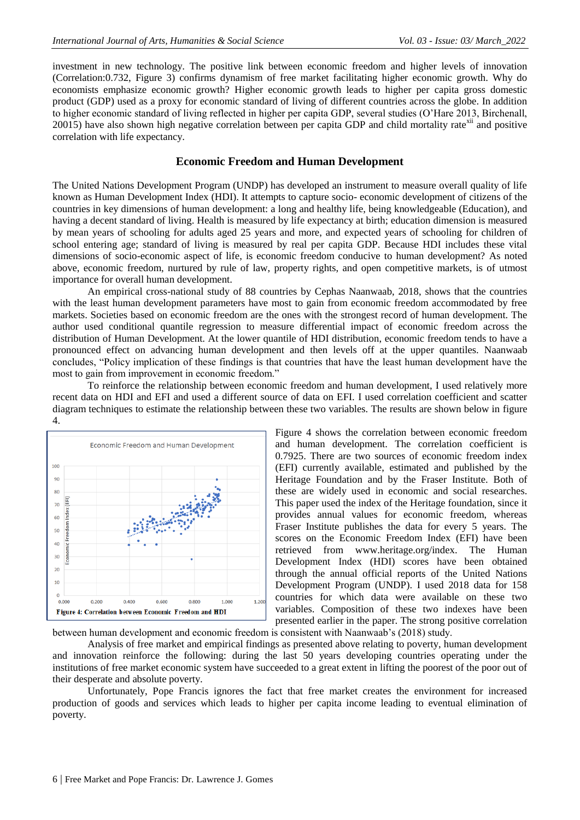investment in new technology. The positive link between economic freedom and higher levels of innovation (Correlation:0.732, Figure 3) confirms dynamism of free market facilitating higher economic growth. Why do economists emphasize economic growth? Higher economic growth leads to higher per capita gross domestic product (GDP) used as a proxy for economic standard of living of different countries across the globe. In addition to higher economic standard of living reflected in higher per capita GDP, several studies (O'Hare 2013, Birchenall,  $20015$ ) have also shown high negative correlation between per capita GDP and child mortality rate $\frac{x}{i}$  and positive correlation with life expectancy.

### **Economic Freedom and Human Development**

The United Nations Development Program (UNDP) has developed an instrument to measure overall quality of life known as Human Development Index (HDI). It attempts to capture socio- economic development of citizens of the countries in key dimensions of human development: a long and healthy life, being knowledgeable (Education), and having a decent standard of living. Health is measured by life expectancy at birth; education dimension is measured by mean years of schooling for adults aged 25 years and more, and expected years of schooling for children of school entering age; standard of living is measured by real per capita GDP. Because HDI includes these vital dimensions of socio-economic aspect of life, is economic freedom conducive to human development? As noted above, economic freedom, nurtured by rule of law, property rights, and open competitive markets, is of utmost importance for overall human development.

An empirical cross-national study of 88 countries by Cephas Naanwaab, 2018, shows that the countries with the least human development parameters have most to gain from economic freedom accommodated by free markets. Societies based on economic freedom are the ones with the strongest record of human development. The author used conditional quantile regression to measure differential impact of economic freedom across the distribution of Human Development. At the lower quantile of HDI distribution, economic freedom tends to have a pronounced effect on advancing human development and then levels off at the upper quantiles. Naanwaab concludes, "Policy implication of these findings is that countries that have the least human development have the most to gain from improvement in economic freedom."

To reinforce the relationship between economic freedom and human development, I used relatively more recent data on HDI and EFI and used a different source of data on EFI. I used correlation coefficient and scatter diagram techniques to estimate the relationship between these two variables. The results are shown below in figure 4.



Figure 4 shows the correlation between economic freedom and human development. The correlation coefficient is 0.7925. There are two sources of economic freedom index (EFI) currently available, estimated and published by the Heritage Foundation and by the Fraser Institute. Both of these are widely used in economic and social researches. This paper used the index of the Heritage foundation, since it provides annual values for economic freedom, whereas Fraser Institute publishes the data for every 5 years. The scores on the Economic Freedom Index (EFI) have been retrieved from [www.heritage.org/index.](http://www.heritage.org/index) The Human Development Index (HDI) scores have been obtained through the annual official reports of the United Nations Development Program (UNDP). I used 2018 data for 158 countries for which data were available on these two variables. Composition of these two indexes have been presented earlier in the paper. The strong positive correlation

between human development and economic freedom is consistent with Naanwaab's (2018) study.

Analysis of free market and empirical findings as presented above relating to poverty, human development and innovation reinforce the following: during the last 50 years developing countries operating under the institutions of free market economic system have succeeded to a great extent in lifting the poorest of the poor out of their desperate and absolute poverty.

Unfortunately, Pope Francis ignores the fact that free market creates the environment for increased production of goods and services which leads to higher per capita income leading to eventual elimination of poverty.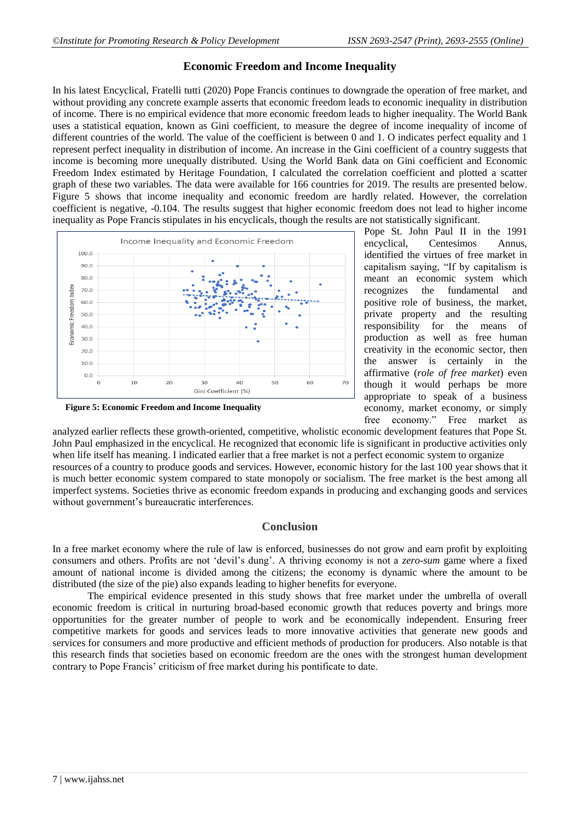# **Economic Freedom and Income Inequality**

In his latest Encyclical, Fratelli tutti (2020) Pope Francis continues to downgrade the operation of free market, and without providing any concrete example asserts that economic freedom leads to economic inequality in distribution of income. There is no empirical evidence that more economic freedom leads to higher inequality. The World Bank uses a statistical equation, known as Gini coefficient, to measure the degree of income inequality of income of different countries of the world. The value of the coefficient is between 0 and 1. O indicates perfect equality and 1 represent perfect inequality in distribution of income. An increase in the Gini coefficient of a country suggests that income is becoming more unequally distributed. Using the World Bank data on Gini coefficient and Economic Freedom Index estimated by Heritage Foundation, I calculated the correlation coefficient and plotted a scatter graph of these two variables. The data were available for 166 countries for 2019. The results are presented below. Figure 5 shows that income inequality and economic freedom are hardly related. However, the correlation coefficient is negative, -0.104. The results suggest that higher economic freedom does not lead to higher income inequality as Pope Francis stipulates in his encyclicals, though the results are not statistically significant.



**Figure 5: Economic Freedom and Income Inequality**

Pope St. John Paul II in the 1991 encyclical, Centesimos Annus, identified the virtues of free market in capitalism saying, "If by capitalism is meant an economic system which recognizes the fundamental and positive role of business, the market, private property and the resulting responsibility for the means of production as well as free human creativity in the economic sector, then the answer is certainly in the affirmative (*role of free market*) even though it would perhaps be more appropriate to speak of a business economy, market economy, or simply free economy." Free market as

analyzed earlier reflects these growth-oriented, competitive, wholistic economic development features that Pope St. John Paul emphasized in the encyclical. He recognized that economic life is significant in productive activities only when life itself has meaning. I indicated earlier that a free market is not a perfect economic system to organize resources of a country to produce goods and services. However, economic history for the last 100 year shows that it is much better economic system compared to state monopoly or socialism. The free market is the best among all imperfect systems. Societies thrive as economic freedom expands in producing and exchanging goods and services without government's bureaucratic interferences.

## **Conclusion**

In a free market economy where the rule of law is enforced, businesses do not grow and earn profit by exploiting consumers and others. Profits are not ‗devil's dung'. A thriving economy is not a *zero-sum* game where a fixed amount of national income is divided among the citizens; the economy is dynamic where the amount to be distributed (the size of the pie) also expands leading to higher benefits for everyone.

The empirical evidence presented in this study shows that free market under the umbrella of overall economic freedom is critical in nurturing broad-based economic growth that reduces poverty and brings more opportunities for the greater number of people to work and be economically independent. Ensuring freer competitive markets for goods and services leads to more innovative activities that generate new goods and services for consumers and more productive and efficient methods of production for producers. Also notable is that this research finds that societies based on economic freedom are the ones with the strongest human development contrary to Pope Francis' criticism of free market during his pontificate to date.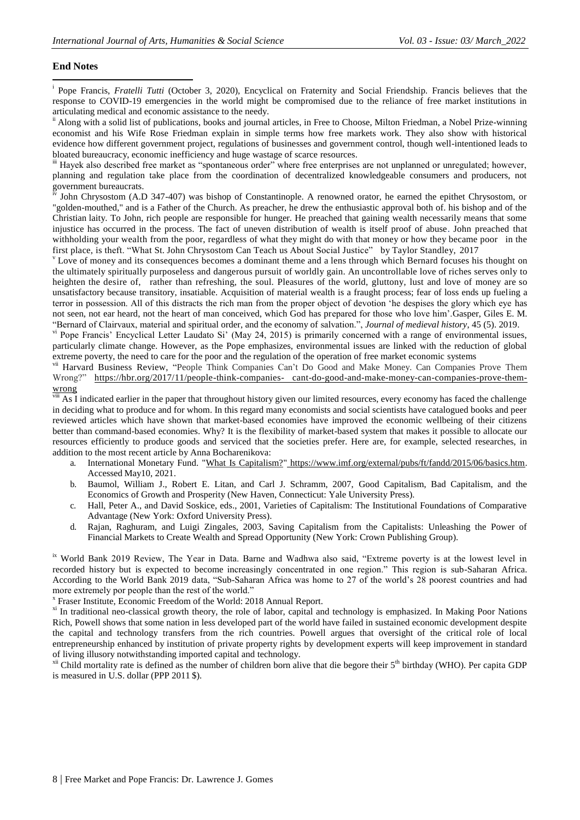### **End Notes**

**.** <sup>i</sup> Pope Francis, *Fratelli Tutti* (October 3, 2020), Encyclical on Fraternity and Social Friendship. Francis believes that the response to COVID-19 emergencies in the world might be compromised due to the reliance of free market institutions in articulating medical and economic assistance to the needy.

<sup>ii</sup> Along with a solid list of publications, books and journal articles, in Free to Choose, Milton Friedman, a Nobel Prize-winning economist and his Wife Rose Friedman explain in simple terms how free markets work. They also show with historical evidence how different government project, regulations of businesses and government control, though well-intentioned leads to bloated bureaucracy, economic inefficiency and huge wastage of scarce resources.

iii Hayek also described free market as "spontaneous order" where free enterprises are not unplanned or unregulated; however, planning and regulation take place from the coordination of decentralized knowledgeable consumers and producers, not government bureaucrats.

John Chrysostom (A.D 347-407) was bishop of Constantinople. A renowned orator, he earned the epithet Chrysostom, or "golden-mouthed," and is a Father of the Church. As preacher, he drew the enthusiastic approval both of. his bishop and of the Christian laity. To John, rich people are responsible for hunger. He preached that gaining wealth necessarily means that some injustice has occurred in the process. The fact of uneven distribution of wealth is itself proof of abuse. John preached that withholding your wealth from the poor, regardless of what they might do with that money or how they became poor in the first place, is theft. "What St. John Chrysostom Can Teach us About Social Justice" by Taylor Standley, 2017

<sup>v</sup> Love of money and its consequences becomes a dominant theme and a lens through which Bernard focuses his thought on the ultimately spiritually purposeless and dangerous pursuit of worldly gain. An uncontrollable love of riches serves only to heighten the desire of, rather than refreshing, the soul. Pleasures of the world, gluttony, lust and love of money are so unsatisfactory because transitory, insatiable. Acquisition of material wealth is a fraught process; fear of loss ends up fueling a terror in possession. All of this distracts the rich man from the proper object of devotion 'he despises the glory which eye has not seen, not ear heard, not the heart of man conceived, which God has prepared for those who love him'.Gasper, Giles E. M. ―Bernard of Clairvaux, material and spiritual order, and the economy of salvation.‖, *Journal of medieval history*, 45 (5). 2019.

v<sup>i</sup> Pope Francis' Encyclical Letter Laudato Si' (May 24, 2015) is primarily concerned with a range of environmental issues, particularly climate change. However, as the Pope emphasizes, environmental issues are linked with the reduction of global extreme poverty, the need to care for the poor and the regulation of the operation of free market economic systems

vii Harvard Business Review, "People Think Companies Can't Do Good and Make Money. Can Companies Prove Them Wrong?" [https://hbr.org/2017/11/people-think-companies-](https://hbr.org/2017/11/people-think-companies-cant-do-good-and-make-money-can-companies-prove-them-wrong) [cant-do-good-and-make-money-can-companies-prove-them](https://hbr.org/2017/11/people-think-companies-cant-do-good-and-make-money-can-companies-prove-them-wrong)[wrong](https://hbr.org/2017/11/people-think-companies-cant-do-good-and-make-money-can-companies-prove-them-wrong)

 $\overline{v}$  As I indicated earlier in the paper that throughout history given our limited resources, every economy has faced the challenge in deciding what to produce and for whom. In this regard many economists and social scientists have catalogued books and peer reviewed articles which have shown that market-based economies have improved the economic wellbeing of their citizens better than command-based economies. Why? It is the flexibility of market-based system that makes it possible to allocate our resources efficiently to produce goods and serviced that the societies prefer. Here are, for example, selected researches, in addition to the most recent article by Anna Bocharenikova:

- a. International Monetary Fund. ["What Is Capitalism?"](https://www.imf.org/external/pubs/ft/fandd/2015/06/basics.htm) [https://www.imf.org/external/pubs/ft/fandd/2015/06/basics.htm.](https://www.imf.org/external/pubs/ft/fandd/2015/06/basics.htm) Accessed May10, 2021.
- b. Baumol, William J., Robert E. Litan, and Carl J. Schramm, 2007, Good Capitalism, Bad Capitalism, and the Economics of Growth and Prosperity (New Haven, Connecticut: Yale University Press).
- c. Hall, Peter A., and David Soskice, eds., 2001, Varieties of Capitalism: The Institutional Foundations of Comparative Advantage (New York: Oxford University Press).
- d. Rajan, Raghuram, and Luigi Zingales, 2003, Saving Capitalism from the Capitalists: Unleashing the Power of Financial Markets to Create Wealth and Spread Opportunity (New York: Crown Publishing Group).

<sup>ix</sup> World Bank 2019 Review, The Year in Data. Barne and Wadhwa also said, "Extreme poverty is at the lowest level in recorded history but is expected to become increasingly concentrated in one region." This region is sub-Saharan Africa. According to the World Bank 2019 data, "Sub-Saharan Africa was home to 27 of the world's 28 poorest countries and had more extremely por people than the rest of the world."

x Fraser Institute, Economic Freedom of the World: 2018 Annual Report.

<sup>xi</sup> In traditional neo-classical growth theory, the role of labor, capital and technology is emphasized. In Making Poor Nations Rich, Powell shows that some nation in less developed part of the world have failed in sustained economic development despite the capital and technology transfers from the rich countries. Powell argues that oversight of the critical role of local entrepreneurship enhanced by institution of private property rights by development experts will keep improvement in standard of living illusory notwithstanding imported capital and technology.

 $x$ <sup>ii</sup> Child mortality rate is defined as the number of children born alive that die begore their  $5<sup>th</sup>$  birthday (WHO). Per capita GDP is measured in U.S. dollar (PPP 2011 \$).